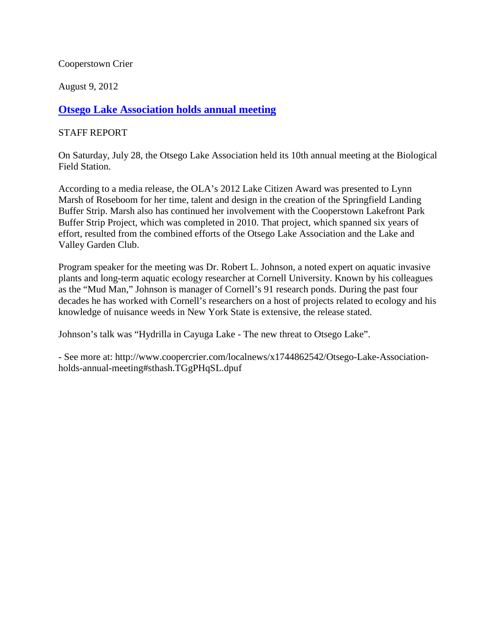Cooperstown Crier

August 9, 2012

## **[Otsego Lake Association holds annual meeting](http://www.coopercrier.com/localnews/x1744862542/Otsego-Lake-Association-holds-annual-meeting)**

## STAFF REPORT

On Saturday, July 28, the Otsego Lake Association held its 10th annual meeting at the Biological Field Station.

According to a media release, the OLA's 2012 Lake Citizen Award was presented to Lynn Marsh of Roseboom for her time, talent and design in the creation of the Springfield Landing Buffer Strip. Marsh also has continued her involvement with the Cooperstown Lakefront Park Buffer Strip Project, which was completed in 2010. That project, which spanned six years of effort, resulted from the combined efforts of the Otsego Lake Association and the Lake and Valley Garden Club.

Program speaker for the meeting was Dr. Robert L. Johnson, a noted expert on aquatic invasive plants and long-term aquatic ecology researcher at Cornell University. Known by his colleagues as the "Mud Man," Johnson is manager of Cornell's 91 research ponds. During the past four decades he has worked with Cornell's researchers on a host of projects related to ecology and his knowledge of nuisance weeds in New York State is extensive, the release stated.

Johnson's talk was "Hydrilla in Cayuga Lake - The new threat to Otsego Lake".

- See more at: http://www.coopercrier.com/localnews/x1744862542/Otsego-Lake-Associationholds-annual-meeting#sthash.TGgPHqSL.dpuf